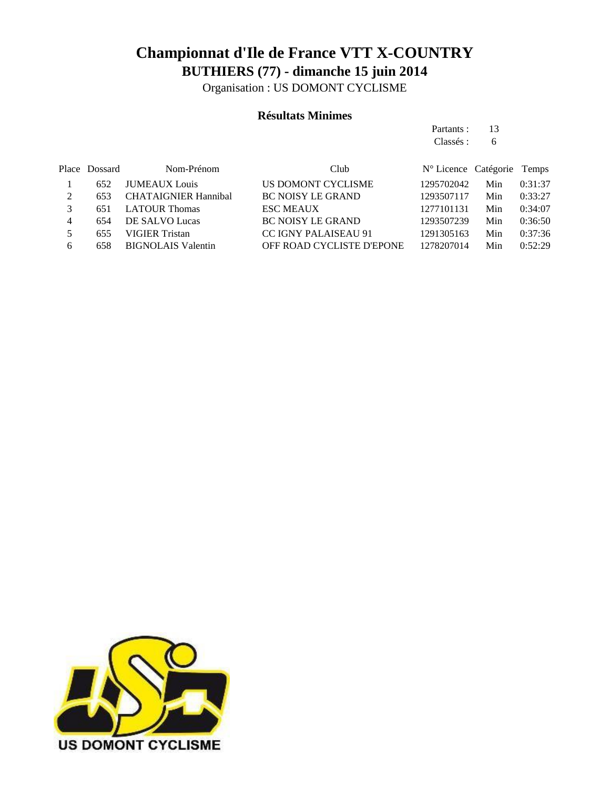Organisation : US DOMONT CYCLISME

#### **Résultats Minimes**

Partants : 13 Classés : 6

|   | Place Dossard | Nom-Prénom                  | Club                             | N° Licence Catégorie Temps |     |         |
|---|---------------|-----------------------------|----------------------------------|----------------------------|-----|---------|
|   | 652           | <b>JUMEAUX</b> Louis        | US DOMONT CYCLISME               | 1295702042                 | Min | 0:31:37 |
|   | 653           | <b>CHATAIGNIER Hannibal</b> | <b>BC NOISY LE GRAND</b>         | 1293507117                 | Min | 0:33:27 |
|   | 651           | <b>LATOUR Thomas</b>        | <b>ESC MEAUX</b>                 | 1277101131                 | Min | 0:34:07 |
| 4 | 654           | DE SALVO Lucas              | <b>BC NOISY LE GRAND</b>         | 1293507239                 | Min | 0:36:50 |
|   | 655           | VIGIER Tristan              | <b>CC IGNY PALAISEAU 91</b>      | 1291305163                 | Min | 0:37:36 |
| 6 | 658           | <b>BIGNOLAIS Valentin</b>   | <b>OFF ROAD CYCLISTE D'EPONE</b> | 1278207014                 | Min | 0:52:29 |

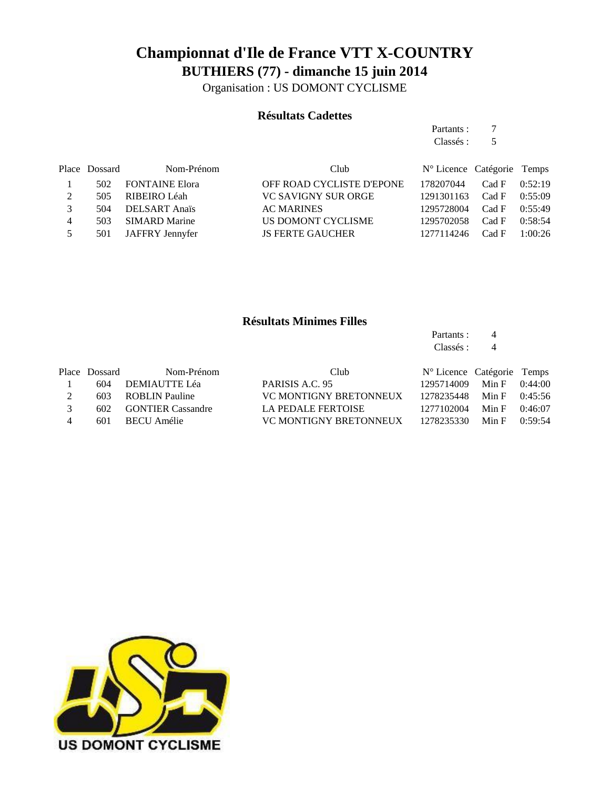Organisation : US DOMONT CYCLISME

#### **Résultats Cadettes**

|   |               |                       | Partants :<br>Classés :   |                            |       |         |
|---|---------------|-----------------------|---------------------------|----------------------------|-------|---------|
|   |               |                       |                           |                            | 5     |         |
|   | Place Dossard | Nom-Prénom            | Club                      | N° Licence Catégorie Temps |       |         |
|   | 502           | <b>FONTAINE Elora</b> | OFF ROAD CYCLISTE D'EPONE | 178207044                  | Cad F | 0:52:19 |
| 2 | 505           | RIBEIRO Léah          | VC SAVIGNY SUR ORGE       | 1291301163                 | Cad F | 0:55:09 |
| 3 | 504           | <b>DELSART</b> Anaïs  | <b>AC MARINES</b>         | 1295728004                 | Cad F | 0:55:49 |
| 4 | 503           | <b>SIMARD</b> Marine  | US DOMONT CYCLISME        | 1295702058                 | Cad F | 0:58:54 |
| 5 | 501           | JAFFRY Jennyfer       | <b>JS FERTE GAUCHER</b>   | 1277114246                 | Cad F | 1:00:26 |

#### **Résultats Minimes Filles**

Partants : 4 Classés : 4

|     | Nom-Prénom | Club                                                                                             |  |                                                                                                                                                                      |
|-----|------------|--------------------------------------------------------------------------------------------------|--|----------------------------------------------------------------------------------------------------------------------------------------------------------------------|
| 604 |            | PARISIS A.C. 95                                                                                  |  |                                                                                                                                                                      |
|     |            | VC MONTIGNY BRETONNEUX                                                                           |  |                                                                                                                                                                      |
|     |            | LA PEDALE FERTOISE                                                                               |  |                                                                                                                                                                      |
|     |            | VC MONTIGNY BRETONNEUX                                                                           |  |                                                                                                                                                                      |
|     |            | Place Dossard<br>DEMIAUTTE Léa<br>603 ROBLIN Pauline<br>602 GONTIER Cassandre<br>601 BECU Amélie |  | $N^{\circ}$ Licence Catégorie Temps<br>Min F $0:44:00$<br>1295714009<br>$Min F = 0:45:56$<br>1278235448<br>Min F $0:46:07$<br>1277102004<br>1278235330 Min F 0:59:54 |

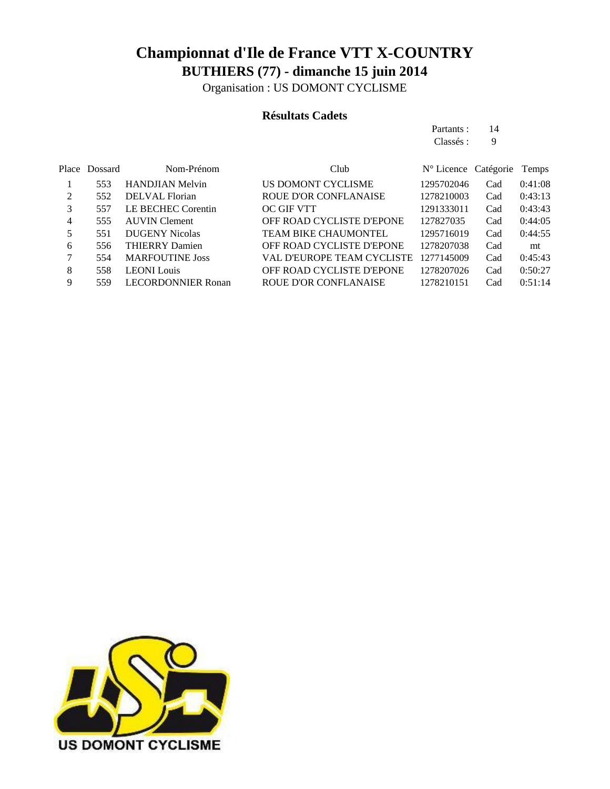Organisation : US DOMONT CYCLISME

#### **Résultats Cadets**

| Partants : | 14 |
|------------|----|
| Classés :  | 9  |

|   | Place Dossard | Nom-Prénom                | Club                         | $N^{\circ}$ Licence Catégorie |     | Temps   |
|---|---------------|---------------------------|------------------------------|-------------------------------|-----|---------|
|   | 553           | <b>HANDJIAN Melvin</b>    | US DOMONT CYCLISME           | 1295702046                    | Cad | 0:41:08 |
| 2 | 552           | DELVAL Florian            | <b>ROUE D'OR CONFLANAISE</b> | 1278210003                    | Cad | 0:43:13 |
| 3 | 557           | LE BECHEC Corentin        | <b>OC GIF VTT</b>            | 1291333011                    | Cad | 0:43:43 |
| 4 | 555           | <b>AUVIN</b> Clement      | OFF ROAD CYCLISTE D'EPONE    | 127827035                     | Cad | 0:44:05 |
| 5 | 551           | <b>DUGENY Nicolas</b>     | TEAM BIKE CHAUMONTEL         | 1295716019                    | Cad | 0:44:55 |
| 6 | 556           | <b>THIERRY Damien</b>     | OFF ROAD CYCLISTE D'EPONE    | 1278207038                    | Cad | mt      |
|   | 554           | <b>MARFOUTINE Joss</b>    | VAL D'EUROPE TEAM CYCLISTE   | 1277145009                    | Cad | 0:45:43 |
| 8 | 558           | <b>LEONI</b> Louis        | OFF ROAD CYCLISTE D'EPONE    | 1278207026                    | Cad | 0:50:27 |
| 9 | 559           | <b>LECORDONNIER Ronan</b> | ROUE D'OR CONFLANAISE        | 1278210151                    | Cad | 0:51:14 |
|   |               |                           |                              |                               |     |         |

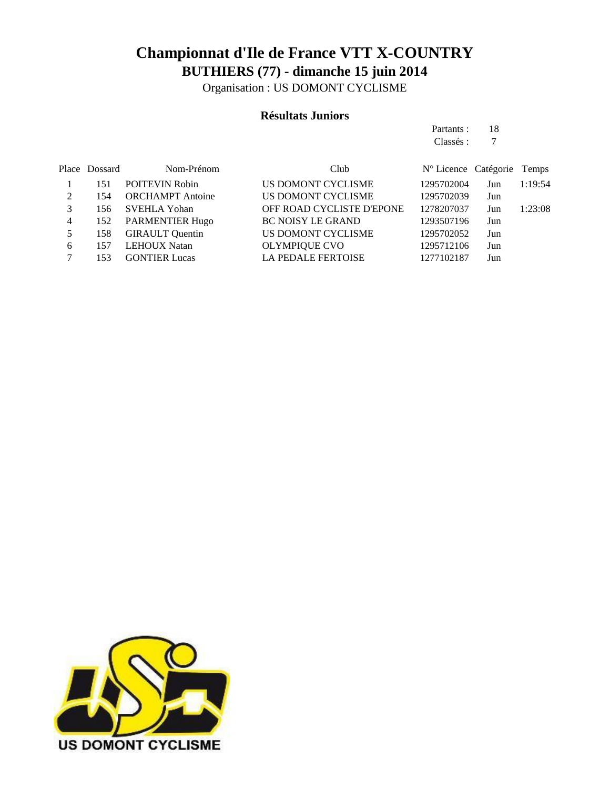Organisation : US DOMONT CYCLISME

#### **Résultats Juniors**

|   |               |                         |                                  | Partants:                     | 18  |         |
|---|---------------|-------------------------|----------------------------------|-------------------------------|-----|---------|
|   |               |                         |                                  | Classés :                     | 7   |         |
|   | Place Dossard | Nom-Prénom              | Club                             | $N^{\circ}$ Licence Catégorie |     | Temps   |
|   | 151           | <b>POITEVIN Robin</b>   | US DOMONT CYCLISME               | 1295702004                    | Jun | 1:19:54 |
| 2 | 154           | <b>ORCHAMPT</b> Antoine | US DOMONT CYCLISME               | 1295702039                    | Jun |         |
| 3 | 156           | <b>SVEHLA Yohan</b>     | <b>OFF ROAD CYCLISTE D'EPONE</b> | 1278207037                    | Jun | 1:23:08 |
| 4 | 152           | <b>PARMENTIER Hugo</b>  | <b>BC NOISY LE GRAND</b>         | 1293507196                    | Jun |         |
| 5 | 158           | <b>GIRAULT</b> Quentin  | US DOMONT CYCLISME               | 1295702052                    | Jun |         |
| 6 | 157           | <b>LEHOUX Natan</b>     | <b>OLYMPIQUE CVO</b>             | 1295712106                    | Jun |         |
| 7 | 153           | <b>GONTIER Lucas</b>    | <b>LA PEDALE FERTOISE</b>        | 1277102187                    | Jun |         |

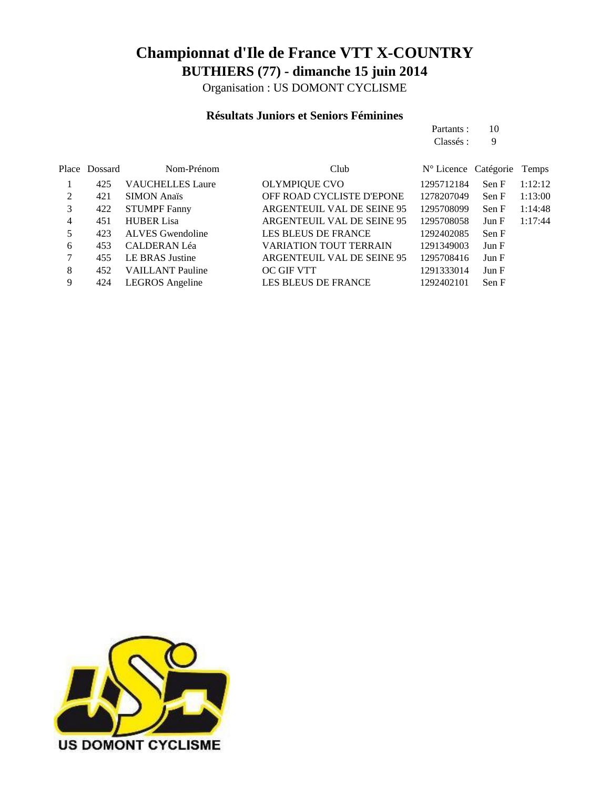Organisation : US DOMONT CYCLISME

#### **Résultats Juniors et Seniors Féminines**

|       |         |                         |                                  | Partants:                     | 10    |         |
|-------|---------|-------------------------|----------------------------------|-------------------------------|-------|---------|
|       |         |                         |                                  | Classés :                     | 9     |         |
|       |         |                         |                                  |                               |       |         |
| Place | Dossard | Nom-Prénom              | Club                             | $N^{\circ}$ Licence Catégorie |       | Temps   |
|       | 425     | <b>VAUCHELLES Laure</b> | <b>OLYMPIQUE CVO</b>             | 1295712184                    | Sen F | 1:12:12 |
| 2     | 421     | <b>SIMON Anaïs</b>      | <b>OFF ROAD CYCLISTE D'EPONE</b> | 1278207049                    | Sen F | 1:13:00 |
| 3     | 422     | <b>STUMPF Fanny</b>     | ARGENTEUIL VAL DE SEINE 95       | 1295708099                    | Sen F | 1:14:48 |
| 4     | 451     | <b>HUBER Lisa</b>       | ARGENTEUIL VAL DE SEINE 95       | 1295708058                    | Jun F | 1:17:44 |
| 5     | 423     | ALVES Gwendoline        | <b>LES BLEUS DE FRANCE</b>       | 1292402085                    | Sen F |         |
| 6     | 453     | <b>CALDERAN Léa</b>     | <b>VARIATION TOUT TERRAIN</b>    | 1291349003                    | Jun F |         |
| 7     | 455     | <b>LE BRAS Justine</b>  | ARGENTEUIL VAL DE SEINE 95       | 1295708416                    | Jun F |         |
| 8     | 452     | <b>VAILLANT</b> Pauline | <b>OC GIF VTT</b>                | 1291333014                    | Jun F |         |
| 9     | 424     | <b>LEGROS</b> Angeline  | LES BLEUS DE FRANCE              | 1292402101                    | Sen F |         |

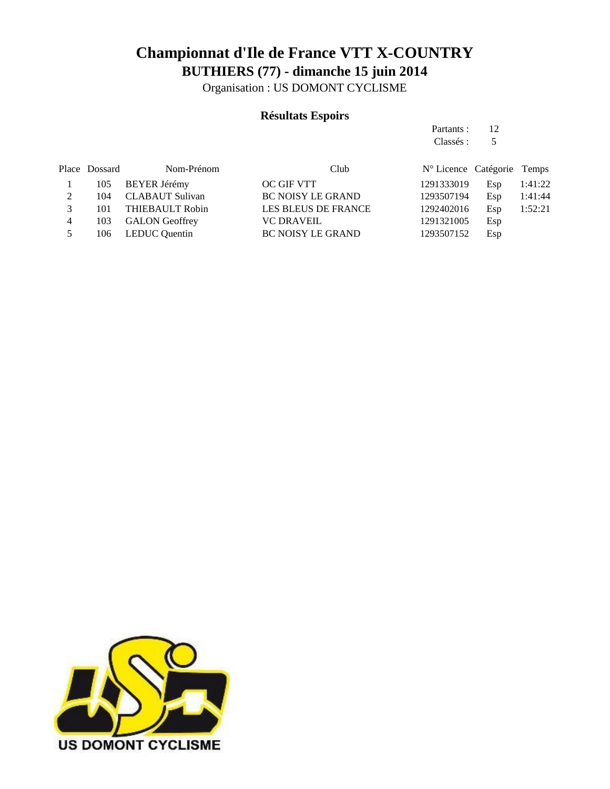Organisation : US DOMONT CYCLISME

#### **Résultats Espoirs**

Partants : 12 Classés : 5

|             | Place Dossard | Nom-Prénom            | Club                     | N° Licence Catégorie Temps |     |         |
|-------------|---------------|-----------------------|--------------------------|----------------------------|-----|---------|
|             |               | 105 BEYER Jérémy      | OC GIF VTT               | 1291333019                 | Esp | 1:41:22 |
| $2^{\circ}$ | 104           | CLABAUT Sulivan       | <b>BC NOISY LE GRAND</b> | 1293507194                 | Esp | 1:41:44 |
| 3           |               | 101 THIEBAULT Robin   | LES BLEUS DE FRANCE      | 1292402016                 | Esp | 1:52:21 |
| 4           | 103           | <b>GALON Geoffrey</b> | <b>VC DRAVEIL</b>        | 1291321005                 | Esp |         |
| 5           |               | 106 LEDUC Quentin     | <b>BC NOISY LE GRAND</b> | 1293507152                 | Esp |         |

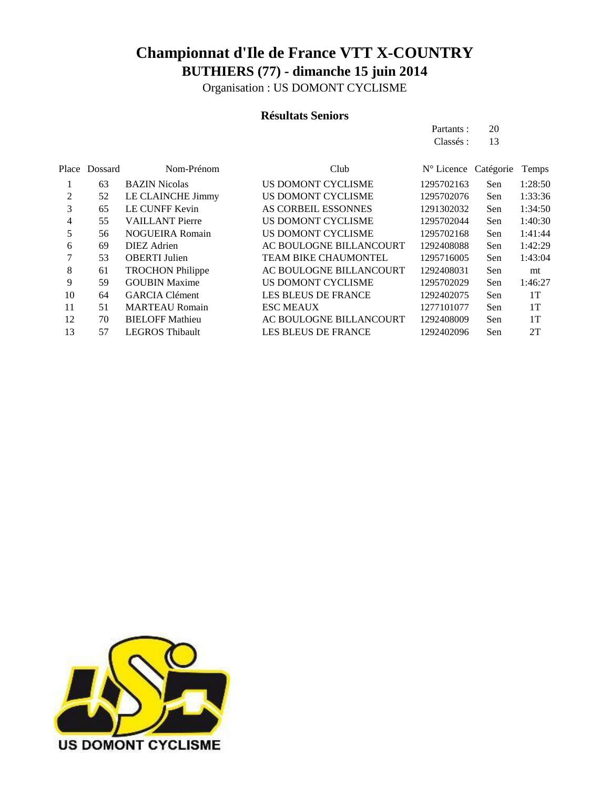Organisation : US DOMONT CYCLISME

#### **Résultats Seniors**

|          |         |                         |                            | Partants :<br>Classés : | 20<br>13  |         |
|----------|---------|-------------------------|----------------------------|-------------------------|-----------|---------|
| Place    | Dossard | Nom-Prénom              | Club                       | $N^{\circ}$ Licence     | Catégorie | Temps   |
| $\bf{l}$ | 63      | <b>BAZIN</b> Nicolas    | US DOMONT CYCLISME         | 1295702163              | Sen       | 1:28:50 |
| 2        | 52      | LE CLAINCHE Jimmy       | US DOMONT CYCLISME         | 1295702076              | Sen       | 1:33:36 |
| 3        | 65      | LE CUNFF Kevin          | AS CORBEIL ESSONNES        | 1291302032              | Sen       | 1:34:50 |
| 4        | 55      | <b>VAILLANT</b> Pierre  | US DOMONT CYCLISME         | 1295702044              | Sen       | 1:40:30 |
| 5        | 56      | <b>NOGUEIRA Romain</b>  | US DOMONT CYCLISME         | 1295702168              | Sen       | 1:41:44 |
| 6        | 69      | <b>DIEZ</b> Adrien      | AC BOULOGNE BILLANCOURT    | 1292408088              | Sen       | 1:42:29 |
| 7        | 53      | <b>OBERTI</b> Julien    | TEAM BIKE CHAUMONTEL       | 1295716005              | Sen       | 1:43:04 |
| 8        | 61      | <b>TROCHON Philippe</b> | AC BOULOGNE BILLANCOURT    | 1292408031              | Sen       | mt      |
| 9        | 59      | <b>GOUBIN Maxime</b>    | US DOMONT CYCLISME         | 1295702029              | Sen       | 1:46:27 |
| 10       | 64      | <b>GARCIA Clément</b>   | <b>LES BLEUS DE FRANCE</b> | 1292402075              | Sen       | 1T      |
| 11       | 51      | <b>MARTEAU Romain</b>   | <b>ESC MEAUX</b>           | 1277101077              | Sen       | 1T      |
| 12       | 70      | <b>BIELOFF Mathieu</b>  | AC BOULOGNE BILLANCOURT    | 1292408009              | Sen       | 1T      |
| 13       | 57      | <b>LEGROS Thibault</b>  | LES BLEUS DE FRANCE        | 1292402096              | Sen       | 2T      |

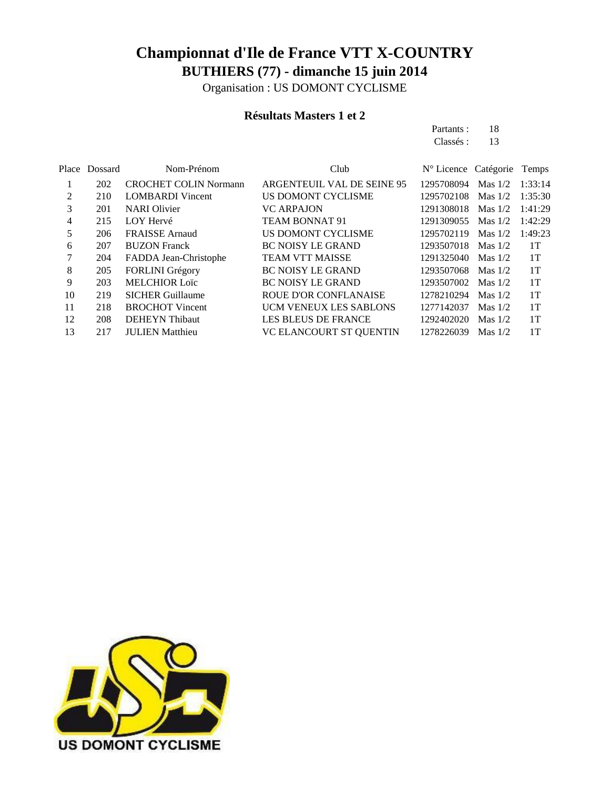Organisation : US DOMONT CYCLISME

#### **Résultats Masters 1 et 2**

| Partants: | 18 |
|-----------|----|
| Classés : | 13 |

| Place Dossard | Nom-Prénom                   | Club                           |            |           | Temps                                                                                                                                        |
|---------------|------------------------------|--------------------------------|------------|-----------|----------------------------------------------------------------------------------------------------------------------------------------------|
| 202           | <b>CROCHET COLIN Normann</b> | ARGENTEUIL VAL DE SEINE 95     |            | Mas $1/2$ | 1:33:14                                                                                                                                      |
| 210           | <b>LOMBARDI</b> Vincent      | US DOMONT CYCLISME             | 1295702108 | Mas $1/2$ | 1:35:30                                                                                                                                      |
| 201           | <b>NARI</b> Olivier          | <b>VC ARPAJON</b>              |            | Mas $1/2$ | 1:41:29                                                                                                                                      |
| 215           | LOY Hervé                    | <b>TEAM BONNAT 91</b>          |            | Mas $1/2$ | 1:42:29                                                                                                                                      |
| 206           | <b>FRAISSE</b> Arnaud        | US DOMONT CYCLISME             | 1295702119 | Mas $1/2$ | 1:49:23                                                                                                                                      |
| 207           | <b>BUZON Franck</b>          | <b>BC NOISY LE GRAND</b>       |            | Mas $1/2$ | 1T                                                                                                                                           |
| 204           | FADDA Jean-Christophe        | <b>TEAM VTT MAISSE</b>         |            | Mas $1/2$ | 1T                                                                                                                                           |
| 205           | <b>FORLINI</b> Grégory       | <b>BC NOISY LE GRAND</b>       |            |           | 1T                                                                                                                                           |
| 203           | <b>MELCHIOR Loïc</b>         | <b>BC NOISY LE GRAND</b>       |            | Mas $1/2$ | 1T                                                                                                                                           |
| 219           | <b>SICHER Guillaume</b>      | <b>ROUE D'OR CONFLANAISE</b>   | 1278210294 | Mas $1/2$ | 1T                                                                                                                                           |
| 218           | <b>BROCHOT</b> Vincent       | <b>UCM VENEUX LES SABLONS</b>  | 1277142037 | Mas $1/2$ | 1T                                                                                                                                           |
| 208           | <b>DEHEYN</b> Thibaut        | <b>LES BLEUS DE FRANCE</b>     |            | Mas $1/2$ | 1T                                                                                                                                           |
| 217           | <b>JULIEN</b> Matthieu       | <b>VC ELANCOURT ST QUENTIN</b> | 1278226039 | Mas $1/2$ | 1T                                                                                                                                           |
|               |                              |                                |            |           | N° Licence Catégorie<br>1295708094<br>1291308018<br>1291309055<br>1293507018<br>1291325040<br>1293507068 Mas 1/2<br>1293507002<br>1292402020 |

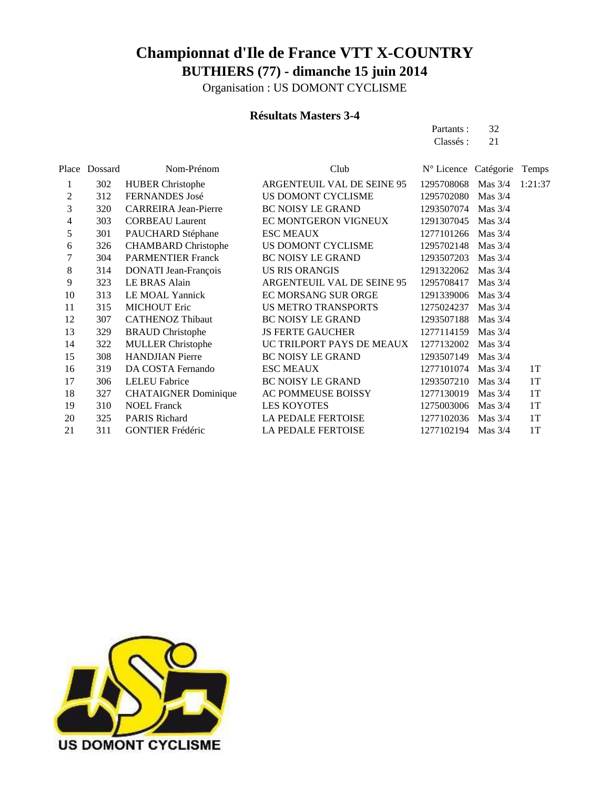Organisation : US DOMONT CYCLISME

#### **Résultats Masters 3-4**

Partants : 32 Classés : 21

|     | Nom-Prénom                  | Club                       |            |           | Temps                              |
|-----|-----------------------------|----------------------------|------------|-----------|------------------------------------|
| 302 | <b>HUBER Christophe</b>     | ARGENTEUIL VAL DE SEINE 95 | 1295708068 | Mas $3/4$ | 1:21:37                            |
| 312 | <b>FERNANDES</b> José       | US DOMONT CYCLISME         | 1295702080 | Mas $3/4$ |                                    |
| 320 | <b>CARREIRA Jean-Pierre</b> | <b>BC NOISY LE GRAND</b>   | 1293507074 | Mas $3/4$ |                                    |
| 303 | <b>CORBEAU Laurent</b>      | EC MONTGERON VIGNEUX       | 1291307045 | Mas $3/4$ |                                    |
| 301 | PAUCHARD Stéphane           | <b>ESC MEAUX</b>           | 1277101266 | Mas $3/4$ |                                    |
| 326 | <b>CHAMBARD</b> Christophe  | US DOMONT CYCLISME         | 1295702148 | Mas $3/4$ |                                    |
| 304 | <b>PARMENTIER Franck</b>    | <b>BC NOISY LE GRAND</b>   | 1293507203 | Mas $3/4$ |                                    |
| 314 | DONATI Jean-François        | <b>US RIS ORANGIS</b>      | 1291322062 | Mas $3/4$ |                                    |
| 323 | <b>LE BRAS Alain</b>        | ARGENTEUIL VAL DE SEINE 95 | 1295708417 | Mas $3/4$ |                                    |
| 313 | LE MOAL Yannick             | <b>EC MORSANG SUR ORGE</b> | 1291339006 | Mas $3/4$ |                                    |
| 315 | <b>MICHOUT Eric</b>         | <b>US METRO TRANSPORTS</b> | 1275024237 | Mas $3/4$ |                                    |
| 307 | <b>CATHENOZ Thibaut</b>     | <b>BC NOISY LE GRAND</b>   | 1293507188 | Mas $3/4$ |                                    |
| 329 | <b>BRAUD</b> Christophe     | <b>JS FERTE GAUCHER</b>    | 1277114159 | Mas $3/4$ |                                    |
| 322 | <b>MULLER Christophe</b>    | UC TRILPORT PAYS DE MEAUX  | 1277132002 | Mas $3/4$ |                                    |
| 308 | <b>HANDJIAN</b> Pierre      | <b>BC NOISY LE GRAND</b>   | 1293507149 | Mas $3/4$ |                                    |
| 319 | DA COSTA Fernando           | <b>ESC MEAUX</b>           | 1277101074 | Mas $3/4$ | 1T                                 |
| 306 | <b>LELEU</b> Fabrice        | <b>BC NOISY LE GRAND</b>   | 1293507210 | Mas $3/4$ | 1T                                 |
| 327 | <b>CHATAIGNER Dominique</b> | AC POMMEUSE BOISSY         | 1277130019 | Mas $3/4$ | 1T                                 |
| 310 | <b>NOEL Franck</b>          | <b>LES KOYOTES</b>         | 1275003006 | Mas $3/4$ | 1T                                 |
| 325 | <b>PARIS Richard</b>        | <b>LA PEDALE FERTOISE</b>  | 1277102036 | Mas $3/4$ | 1T                                 |
| 311 | <b>GONTIER Frédéric</b>     | <b>LA PEDALE FERTOISE</b>  |            | Mas $3/4$ | 1T                                 |
|     | Place Dossard               |                            |            |           | N° Licence Catégorie<br>1277102194 |

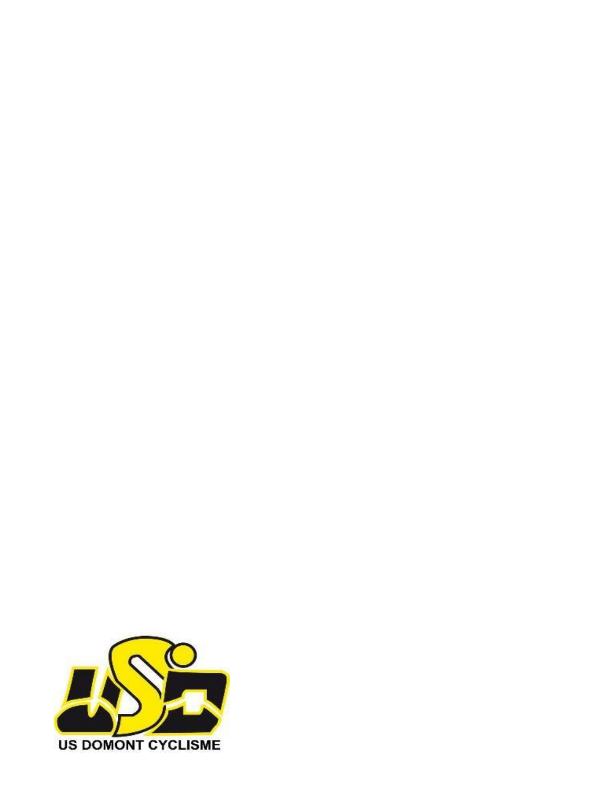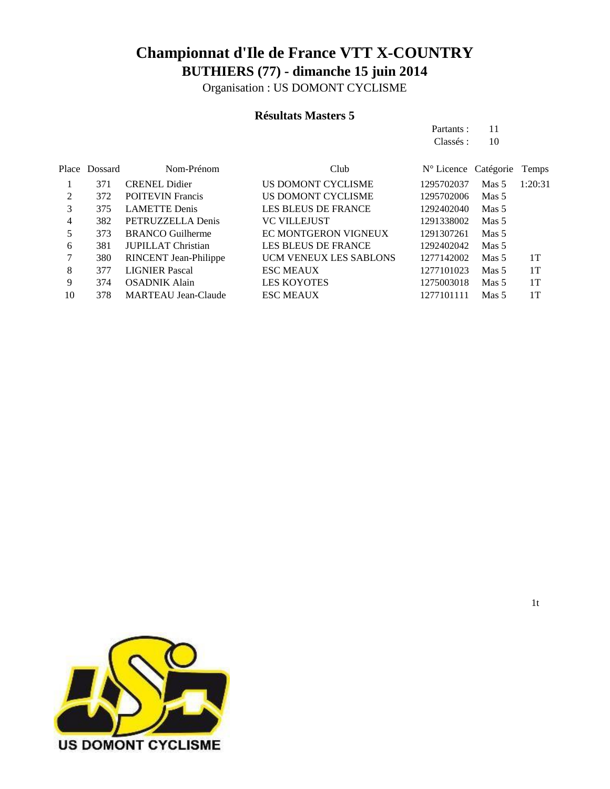Organisation : US DOMONT CYCLISME

#### **Résultats Masters 5**

Partants : 11 Classés : 10

|    | Place Dossard | Nom-Prénom                   | Club                          | N° Licence Catégorie |                  | Temps   |
|----|---------------|------------------------------|-------------------------------|----------------------|------------------|---------|
|    | 371           | <b>CRENEL Didier</b>         | US DOMONT CYCLISME            | 1295702037           | Mas <sub>5</sub> | 1:20:31 |
| 2  | 372           | <b>POITEVIN Francis</b>      | US DOMONT CYCLISME            | 1295702006           | Mas 5            |         |
| 3  | 375           | <b>LAMETTE</b> Denis         | <b>LES BLEUS DE FRANCE</b>    | 1292402040           | Mas <sub>5</sub> |         |
| 4  | 382           | PETRUZZELLA Denis            | <b>VC VILLEJUST</b>           | 1291338002           | Mas 5            |         |
|    | 373           | <b>BRANCO</b> Guilherme      | EC MONTGERON VIGNEUX          | 1291307261           | Mas <sub>5</sub> |         |
| 6  | 381           | <b>JUPILLAT Christian</b>    | LES BLEUS DE FRANCE           | 1292402042           | Mas 5            |         |
| 7  | 380           | <b>RINCENT</b> Jean-Philippe | <b>UCM VENEUX LES SABLONS</b> | 1277142002           | Mas <sub>5</sub> | 1T      |
| 8  | 377           | <b>LIGNIER Pascal</b>        | <b>ESC MEAUX</b>              | 1277101023           | Mas 5            | 1T      |
| 9  | 374           | <b>OSADNIK Alain</b>         | <b>LES KOYOTES</b>            | 1275003018           | Mas <sub>5</sub> | 1T      |
| 10 | 378           | <b>MARTEAU Jean-Claude</b>   | <b>ESC MEAUX</b>              | 1277101111           | Mas <sub>5</sub> | 1T      |
|    |               |                              |                               |                      |                  |         |

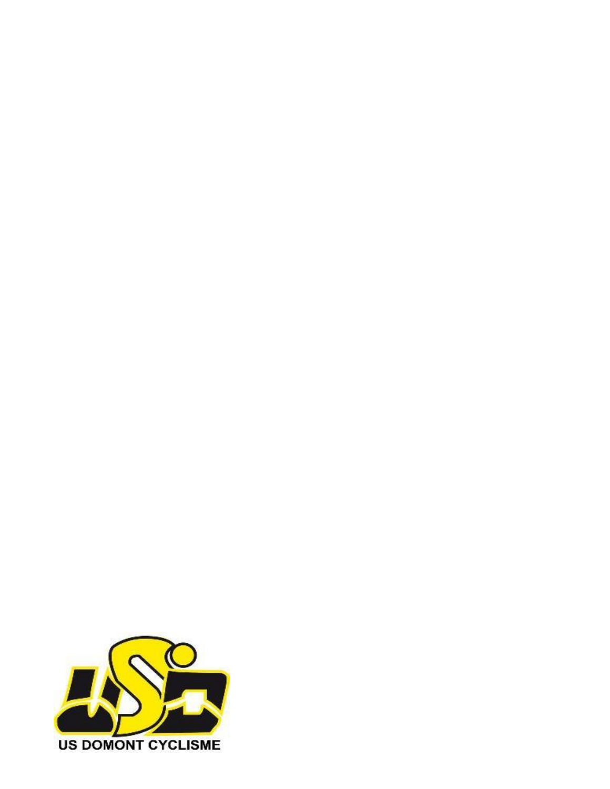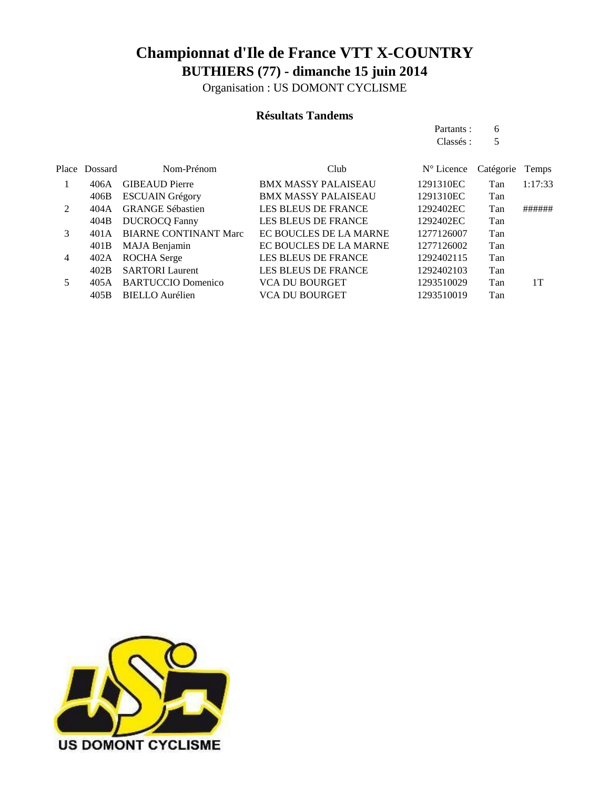Organisation : US DOMONT CYCLISME

#### **Résultats Tandems**

Partants : 6 Classés : 5

|               | Place Dossard    | Nom-Prénom                   | Club                       | $N^{\circ}$ Licence | Catégorie | Temps   |
|---------------|------------------|------------------------------|----------------------------|---------------------|-----------|---------|
|               | 406A             | <b>GIBEAUD Pierre</b>        | <b>BMX MASSY PALAISEAU</b> | 1291310EC           | Tan       | 1:17:33 |
|               | 406B             | <b>ESCUAIN Grégory</b>       | <b>BMX MASSY PALAISEAU</b> | 1291310EC           | Tan       |         |
| $\mathcal{L}$ | 404 A            | <b>GRANGE Sébastien</b>      | <b>LES BLEUS DE FRANCE</b> | 1292402EC           | Tan       | ######  |
|               | 404B             | <b>DUCROCQ Fanny</b>         | <b>LES BLEUS DE FRANCE</b> | 1292402EC           | Tan       |         |
| 3             | 401 A            | <b>BIARNE CONTINANT Marc</b> | EC BOUCLES DE LA MARNE     | 1277126007          | Tan       |         |
|               | 401B             | MAJA Benjamin                | EC BOUCLES DE LA MARNE     | 1277126002          | Tan       |         |
| 4             | 402A             | <b>ROCHA</b> Serge           | <b>LES BLEUS DE FRANCE</b> | 1292402115          | Tan       |         |
|               | 402B             | <b>SARTORI</b> Laurent       | <b>LES BLEUS DE FRANCE</b> | 1292402103          | Tan       |         |
| 5             | 405A             | <b>BARTUCCIO Domenico</b>    | <b>VCA DU BOURGET</b>      | 1293510029          | Tan       | 1T      |
|               | 405 <sub>B</sub> | <b>BIELLO</b> Aurélien       | <b>VCA DU BOURGET</b>      | 1293510019          | Tan       |         |

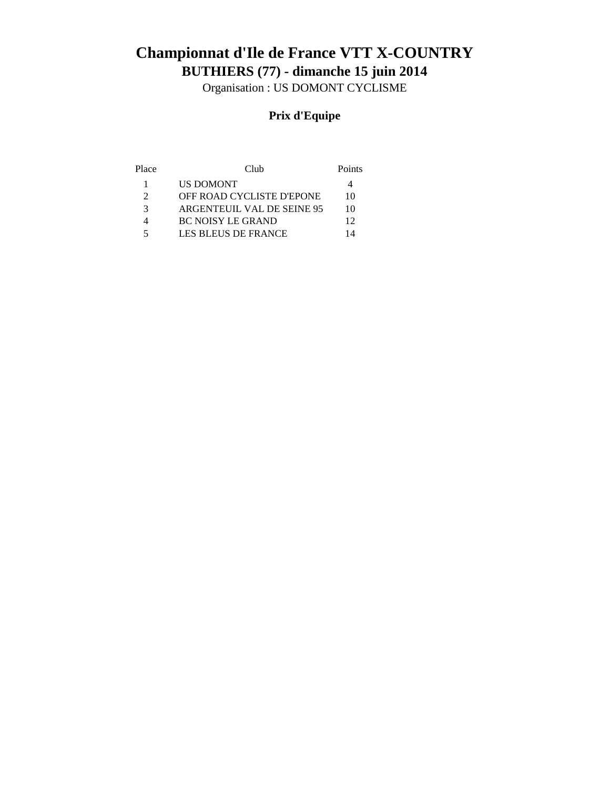# **BUTHIERS (77) - dimanche 15 juin 2014 Championnat d'Ile de France VTT X-COUNTRY**

Organisation : US DOMONT CYCLISME

### **Prix d'Equipe**

| Place | Club                             | Points |
|-------|----------------------------------|--------|
|       | <b>US DOMONT</b>                 |        |
|       | <b>OFF ROAD CYCLISTE D'EPONE</b> | 10     |
| 3     | ARGENTEUIL VAL DE SEINE 95       | 10     |
|       | <b>BC NOISY LE GRAND</b>         | 12     |
| 5     | LES BLEUS DE FRANCE              | 14     |
|       |                                  |        |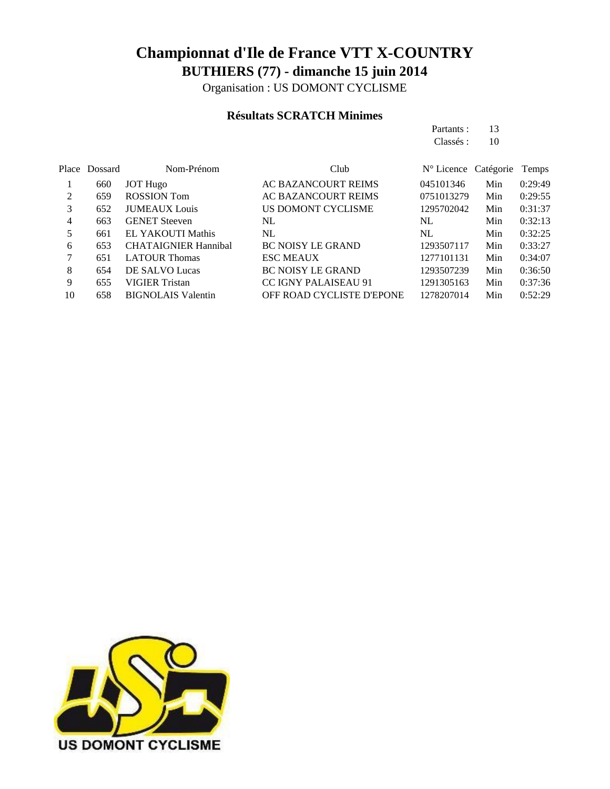Organisation : US DOMONT CYCLISME

#### **Résultats SCRATCH Minimes**

|                |         |                             |                             | Partants:                     | 13  |         |
|----------------|---------|-----------------------------|-----------------------------|-------------------------------|-----|---------|
|                |         |                             |                             | Classés :                     | 10  |         |
| Place          | Dossard | Nom-Prénom                  | Club                        | $N^{\circ}$ Licence Catégorie |     | Temps   |
|                | 660     | <b>JOT</b> Hugo             | <b>AC BAZANCOURT REIMS</b>  | 045101346                     | Min | 0:29:49 |
| 2              | 659     | <b>ROSSION</b> Tom          | AC BAZANCOURT REIMS         | 0751013279                    | Min | 0:29:55 |
| 3              | 652     | <b>JUMEAUX</b> Louis        | US DOMONT CYCLISME          | 1295702042                    | Min | 0:31:37 |
| $\overline{4}$ | 663     | <b>GENET</b> Steeven        | NL                          | NL                            | Min | 0:32:13 |
| 5              | 661     | <b>EL YAKOUTI Mathis</b>    | NL                          | NL                            | Min | 0:32:25 |
| 6              | 653     | <b>CHATAIGNIER Hannibal</b> | <b>BC NOISY LE GRAND</b>    | 1293507117                    | Min | 0:33:27 |
| 7              | 651     | <b>LATOUR Thomas</b>        | <b>ESC MEAUX</b>            | 1277101131                    | Min | 0:34:07 |
| 8              | 654     | DE SALVO Lucas              | <b>BC NOISY LE GRAND</b>    | 1293507239                    | Min | 0:36:50 |
| 9              | 655     | <b>VIGIER Tristan</b>       | <b>CC IGNY PALAISEAU 91</b> | 1291305163                    | Min | 0:37:36 |
| 10             | 658     | <b>BIGNOLAIS Valentin</b>   | OFF ROAD CYCLISTE D'EPONE   | 1278207014                    | Min | 0:52:29 |

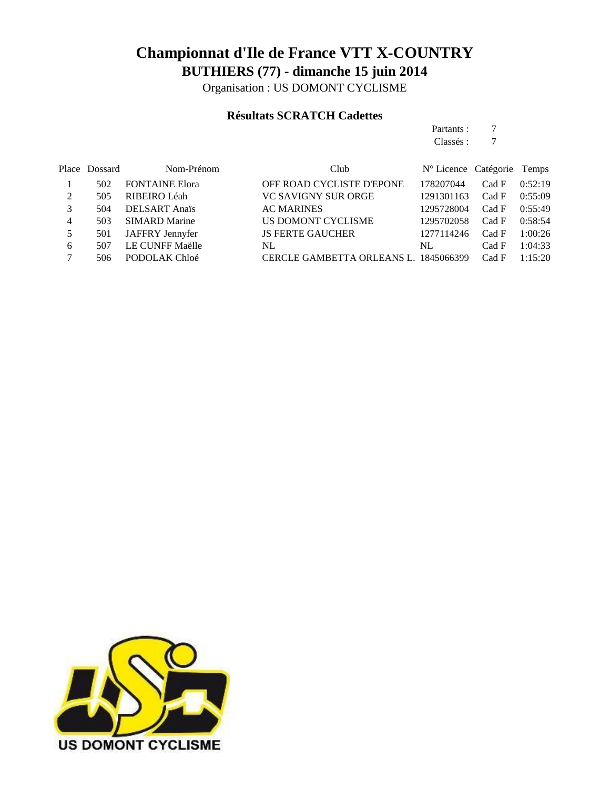Organisation : US DOMONT CYCLISME

#### **Résultats SCRATCH Cadettes**

|   |               |                       |                            | Partants :                    | 7     |              |
|---|---------------|-----------------------|----------------------------|-------------------------------|-------|--------------|
|   |               |                       |                            | Classés :                     | 7     |              |
|   | Place Dossard | Nom-Prénom            | Club                       | $N^{\circ}$ Licence Catégorie |       | <b>Temps</b> |
|   | 502           | <b>FONTAINE Elora</b> | OFF ROAD CYCLISTE D'EPONE  | 178207044                     | Cad F | 0:52:19      |
| 2 | 505           | RIBEIRO Léah          | VC SAVIGNY SUR ORGE        | 1291301163                    | Cad F | 0:55:09      |
| 3 | 504           | <b>DELSART</b> Anaïs  | <b>AC MARINES</b>          | 1295728004                    | Cad F | 0:55:49      |
| 4 | 503           | <b>SIMARD Marine</b>  | US DOMONT CYCLISME         | 1295702058                    | Cad F | 0:58:54      |
| 5 | 501           | JAFFRY Jennyfer       | <b>JS FERTE GAUCHER</b>    | 1277114246                    | Cad F | 1:00:26      |
| 6 | 507           | LE CUNFF Maëlle       | NL                         | NL                            | Cad F | 1:04:33      |
| 7 | 506           | PODOLAK Chloé         | CERCLE GAMBETTA ORLEANS L. | 1845066399                    | Cad F | 1:15:20      |

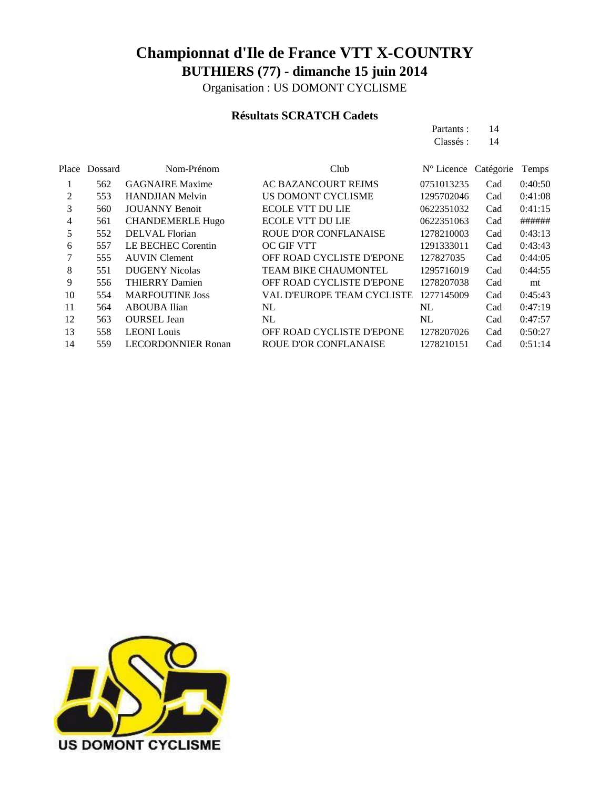Organisation : US DOMONT CYCLISME

#### **Résultats SCRATCH Cadets**

Partants : 14

|                |         |                           |                                   | Classés :  | 14        |         |
|----------------|---------|---------------------------|-----------------------------------|------------|-----------|---------|
| Place          | Dossard | Nom-Prénom                | Club                              | N° Licence | Catégorie | Temps   |
|                | 562     | <b>GAGNAIRE Maxime</b>    | <b>AC BAZANCOURT REIMS</b>        | 0751013235 | Cad       | 0:40:50 |
| 2              | 553     | <b>HANDJIAN Melvin</b>    | US DOMONT CYCLISME                | 1295702046 | Cad       | 0:41:08 |
| 3              | 560     | <b>JOUANNY Benoit</b>     | <b>ECOLE VTT DU LIE</b>           | 0622351032 | Cad       | 0:41:15 |
| $\overline{4}$ | 561     | <b>CHANDEMERLE Hugo</b>   | <b>ECOLE VTT DU LIE</b>           | 0622351063 | Cad       | ######  |
| 5              | 552     | <b>DELVAL</b> Florian     | ROUE D'OR CONFLANAISE             | 1278210003 | Cad       | 0:43:13 |
| 6              | 557     | LE BECHEC Corentin        | <b>OC GIF VTT</b>                 | 1291333011 | Cad       | 0:43:43 |
| 7              | 555     | <b>AUVIN</b> Clement      | OFF ROAD CYCLISTE D'EPONE         | 127827035  | Cad       | 0:44:05 |
| 8              | 551     | <b>DUGENY Nicolas</b>     | <b>TEAM BIKE CHAUMONTEL</b>       | 1295716019 | Cad       | 0:44:55 |
| 9              | 556     | <b>THIERRY Damien</b>     | OFF ROAD CYCLISTE D'EPONE         | 1278207038 | Cad       | mt      |
| 10             | 554     | <b>MARFOUTINE Joss</b>    | <b>VAL D'EUROPE TEAM CYCLISTE</b> | 1277145009 | Cad       | 0:45:43 |
| 11             | 564     | <b>ABOUBA</b> Ilian       | NL                                | NL         | Cad       | 0:47:19 |
| 12             | 563     | <b>OURSEL Jean</b>        | NL                                | NL         | Cad       | 0:47:57 |
| 13             | 558     | <b>LEONI</b> Louis        | OFF ROAD CYCLISTE D'EPONE         | 1278207026 | Cad       | 0:50:27 |
| 14             | 559     | <b>LECORDONNIER Ronan</b> | <b>ROUE D'OR CONFLANAISE</b>      | 1278210151 | Cad       | 0:51:14 |

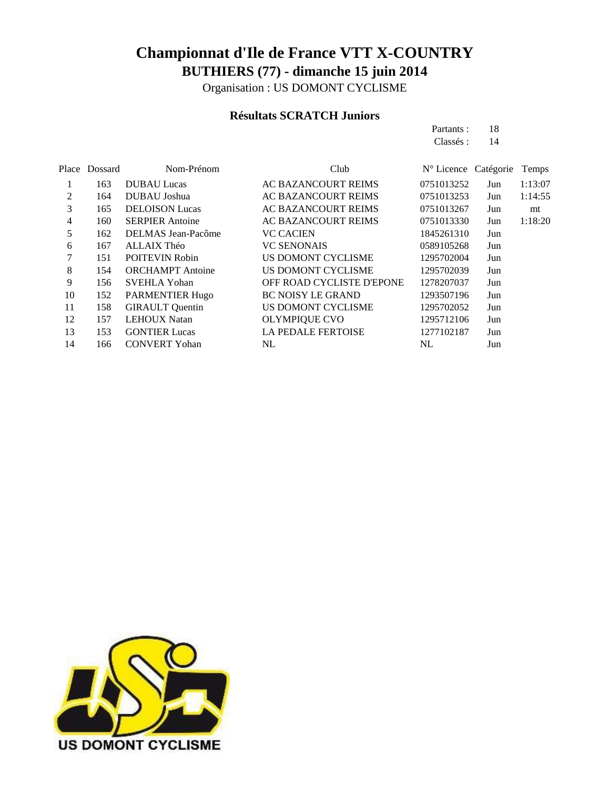Organisation : US DOMONT CYCLISME

#### **Résultats SCRATCH Juniors**

Partants : 18

|     |                         |                            | Classés :  | 14  |                      |
|-----|-------------------------|----------------------------|------------|-----|----------------------|
|     | Nom-Prénom              | Club                       |            |     | Temps                |
| 163 | <b>DUBAU Lucas</b>      | AC BAZANCOURT REIMS        | 0751013252 | Jun | 1:13:07              |
| 164 | DUBAU Joshua            | AC BAZANCOURT REIMS        | 0751013253 | Jun | 1:14:55              |
| 165 | <b>DELOISON</b> Lucas   | <b>AC BAZANCOURT REIMS</b> | 0751013267 | Jun | mt                   |
| 160 | <b>SERPIER Antoine</b>  | <b>AC BAZANCOURT REIMS</b> | 0751013330 | Jun | 1:18:20              |
| 162 | DELMAS Jean-Pacôme      | <b>VC CACIEN</b>           | 1845261310 | Jun |                      |
| 167 | ALLAIX Théo             | <b>VC SENONAIS</b>         | 0589105268 | Jun |                      |
| 151 | <b>POITEVIN Robin</b>   | US DOMONT CYCLISME         | 1295702004 | Jun |                      |
| 154 | <b>ORCHAMPT</b> Antoine | US DOMONT CYCLISME         | 1295702039 | Jun |                      |
| 156 | <b>SVEHLA Yohan</b>     | OFF ROAD CYCLISTE D'EPONE  | 1278207037 | Jun |                      |
| 152 | <b>PARMENTIER Hugo</b>  | <b>BC NOISY LE GRAND</b>   | 1293507196 | Jun |                      |
| 158 | <b>GIRAULT</b> Quentin  | US DOMONT CYCLISME         | 1295702052 | Jun |                      |
| 157 | <b>LEHOUX Natan</b>     | <b>OLYMPIQUE CVO</b>       | 1295712106 | Jun |                      |
| 153 | <b>GONTIER Lucas</b>    | <b>LA PEDALE FERTOISE</b>  | 1277102187 | Jun |                      |
| 166 | <b>CONVERT Yohan</b>    | NL                         | NL         | Jun |                      |
|     | Place Dossard           |                            |            |     | N° Licence Catégorie |

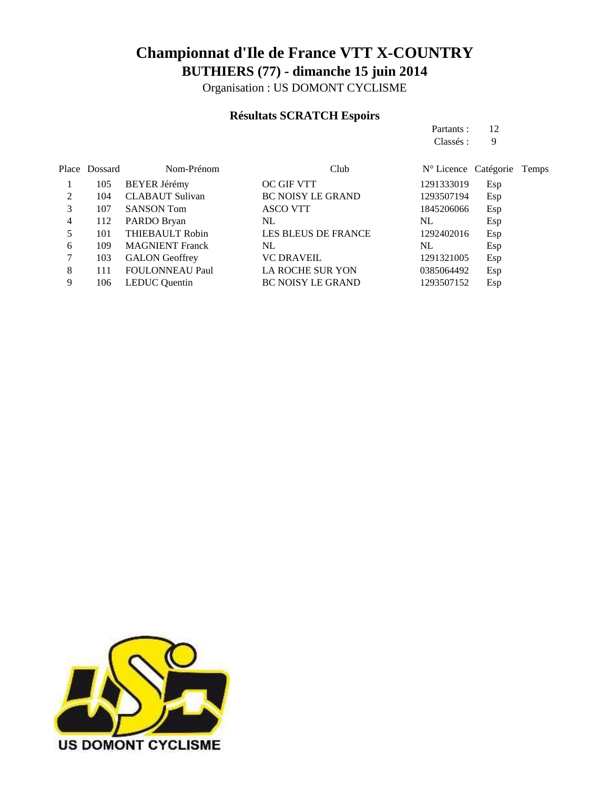Organisation : US DOMONT CYCLISME

#### **Résultats SCRATCH Espoirs**

| Partants: | 12 |
|-----------|----|
| Classés : | 9  |

|   | Place Dossard | Nom-Prénom             | Club                       | N° Licence Catégorie |     | Temps |
|---|---------------|------------------------|----------------------------|----------------------|-----|-------|
|   | 105           | <b>BEYER Jérémy</b>    | <b>OC GIF VTT</b>          | 1291333019           | Esp |       |
| 2 | 104           | <b>CLABAUT</b> Sulivan | <b>BC NOISY LE GRAND</b>   | 1293507194           | Esp |       |
| 3 | 107           | <b>SANSON Tom</b>      | <b>ASCO VTT</b>            | 1845206066           | Esp |       |
| 4 | 112           | PARDO Bryan            | NL                         | NL                   | Esp |       |
|   | 101           | <b>THIEBAULT Robin</b> | <b>LES BLEUS DE FRANCE</b> | 1292402016           | Esp |       |
| 6 | 109           | <b>MAGNIENT Franck</b> | NL                         | NL                   | Esp |       |
|   | 103           | <b>GALON</b> Geoffrey  | <b>VC DRAVEIL</b>          | 1291321005           | Esp |       |
| 8 | 111           | <b>FOULONNEAU Paul</b> | <b>LA ROCHE SUR YON</b>    | 0385064492           | Esp |       |
| 9 | 106           | <b>LEDUC</b> Quentin   | <b>BC NOISY LE GRAND</b>   | 1293507152           | Esp |       |

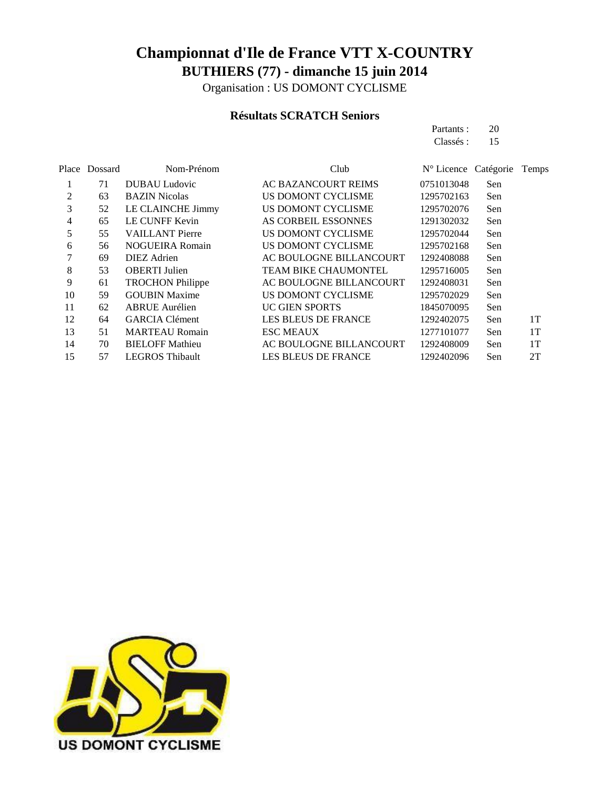Organisation : US DOMONT CYCLISME

#### **Résultats SCRATCH Seniors**

Partants : 20

|       |         |                         |                            | Classés :           | 15        |       |
|-------|---------|-------------------------|----------------------------|---------------------|-----------|-------|
| Place | Dossard | Nom-Prénom              | Club                       | $N^{\circ}$ Licence | Catégorie | Temps |
|       | 71      | DUBAU Ludovic           | AC BAZANCOURT REIMS        | 0751013048          | Sen       |       |
| 2     | 63      | <b>BAZIN</b> Nicolas    | US DOMONT CYCLISME         | 1295702163          | Sen       |       |
| 3     | 52      | LE CLAINCHE Jimmy       | US DOMONT CYCLISME         | 1295702076          | Sen       |       |
| 4     | 65      | LE CUNFF Kevin          | AS CORBEIL ESSONNES        | 1291302032          | Sen       |       |
| 5     | 55      | <b>VAILLANT Pierre</b>  | US DOMONT CYCLISME         | 1295702044          | Sen       |       |
| 6     | 56      | <b>NOGUEIRA Romain</b>  | US DOMONT CYCLISME         | 1295702168          | Sen       |       |
| 7     | 69      | <b>DIEZ</b> Adrien      | AC BOULOGNE BILLANCOURT    | 1292408088          | Sen       |       |
| 8     | 53      | <b>OBERTI</b> Julien    | TEAM BIKE CHAUMONTEL       | 1295716005          | Sen       |       |
| 9     | 61      | <b>TROCHON Philippe</b> | AC BOULOGNE BILLANCOURT    | 1292408031          | Sen       |       |
| 10    | 59      | <b>GOUBIN Maxime</b>    | US DOMONT CYCLISME         | 1295702029          | Sen       |       |
| 11    | 62      | <b>ABRUE</b> Aurélien   | <b>UC GIEN SPORTS</b>      | 1845070095          | Sen       |       |
| 12    | 64      | <b>GARCIA Clément</b>   | <b>LES BLEUS DE FRANCE</b> | 1292402075          | Sen       | 1T    |
| 13    | 51      | <b>MARTEAU Romain</b>   | <b>ESC MEAUX</b>           | 1277101077          | Sen       | 1T    |
| 14    | 70      | <b>BIELOFF Mathieu</b>  | AC BOULOGNE BILLANCOURT    | 1292408009          | Sen       | 1T    |
| 15    | 57      | <b>LEGROS Thibault</b>  | <b>LES BLEUS DE FRANCE</b> | 1292402096          | Sen       | 2T    |
|       |         |                         |                            |                     |           |       |

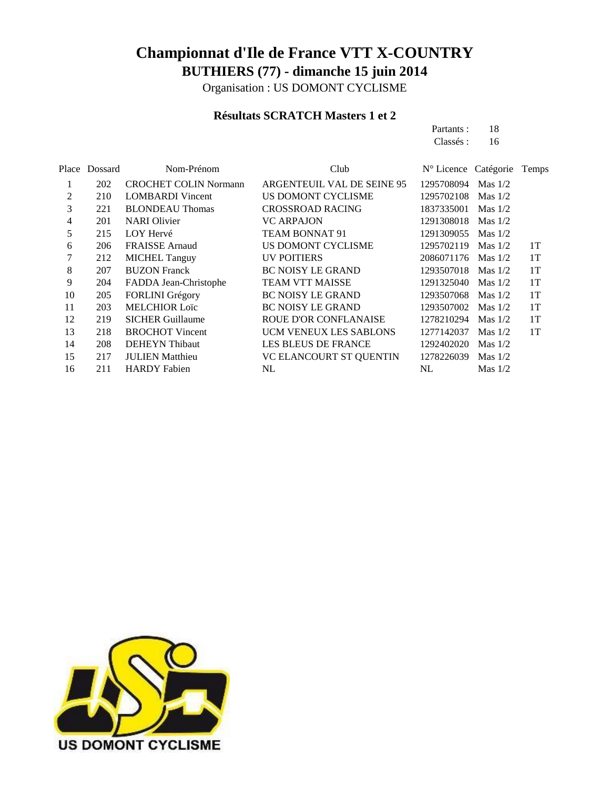Organisation : US DOMONT CYCLISME

#### **Résultats SCRATCH Masters 1 et 2**

| Partants: | 18 |
|-----------|----|
| Classés : | 16 |

|    | Place Dossard | Nom-Prénom                   | Club                          | N° Licence Catégorie |           | Temps |
|----|---------------|------------------------------|-------------------------------|----------------------|-----------|-------|
| 1  | 202           | <b>CROCHET COLIN Normann</b> | ARGENTEUIL VAL DE SEINE 95    | 1295708094           | Mas $1/2$ |       |
| 2  | 210           | <b>LOMBARDI</b> Vincent      | US DOMONT CYCLISME            | 1295702108           | Mas $1/2$ |       |
| 3  | 221           | <b>BLONDEAU Thomas</b>       | <b>CROSSROAD RACING</b>       | 1837335001           | Mas $1/2$ |       |
| 4  | 201           | <b>NARI</b> Olivier          | <b>VC ARPAJON</b>             | 1291308018           | Mas $1/2$ |       |
| 5  | 215           | LOY Hervé                    | TEAM BONNAT 91                | 1291309055           | Mas $1/2$ |       |
| 6  | 206           | <b>FRAISSE</b> Arnaud        | US DOMONT CYCLISME            | 1295702119           | Mas $1/2$ | 1T    |
|    | 212           | <b>MICHEL Tanguy</b>         | <b>UV POITIERS</b>            | 2086071176 Mas 1/2   |           | 1T    |
| 8  | 207           | <b>BUZON Franck</b>          | <b>BC NOISY LE GRAND</b>      | 1293507018           | Mas $1/2$ | 1T    |
| 9  | 204           | FADDA Jean-Christophe        | <b>TEAM VTT MAISSE</b>        | 1291325040           | Mas $1/2$ | 1T    |
| 10 | 205           | FORLINI Grégory              | <b>BC NOISY LE GRAND</b>      | 1293507068           | Mas $1/2$ | 1T    |
| 11 | 203           | <b>MELCHIOR Loïc</b>         | <b>BC NOISY LE GRAND</b>      | 1293507002           | Mas $1/2$ | 1T    |
| 12 | 219           | <b>SICHER Guillaume</b>      | <b>ROUE D'OR CONFLANAISE</b>  | 1278210294           | Mas $1/2$ | 1T    |
| 13 | 218           | <b>BROCHOT Vincent</b>       | <b>UCM VENEUX LES SABLONS</b> | 1277142037           | Mas $1/2$ | 1T    |
| 14 | 208           | <b>DEHEYN</b> Thibaut        | <b>LES BLEUS DE FRANCE</b>    | 1292402020           | Mas $1/2$ |       |
| 15 | 217           | <b>JULIEN</b> Matthieu       | VC ELANCOURT ST QUENTIN       | 1278226039           | Mas $1/2$ |       |
| 16 | 211           | <b>HARDY</b> Fabien          | NL.                           | NL.                  | Mas $1/2$ |       |
|    |               |                              |                               |                      |           |       |

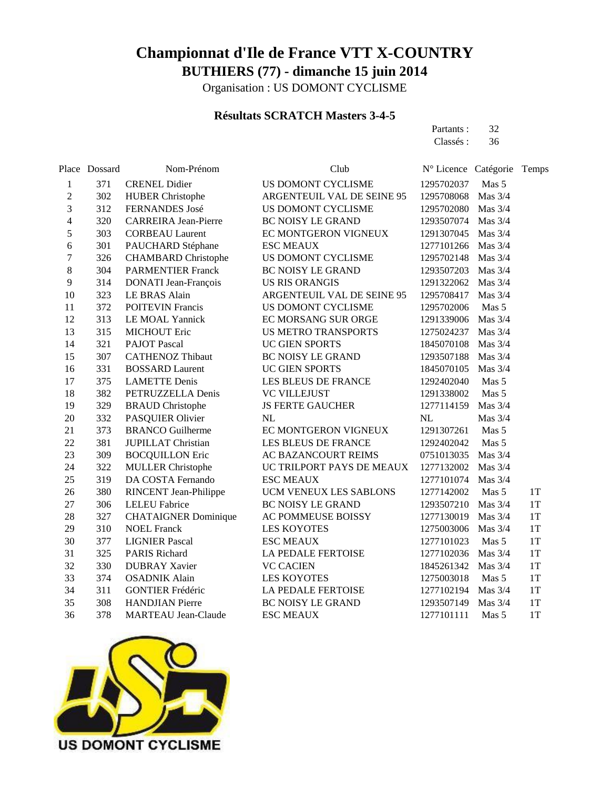Organisation : US DOMONT CYCLISME

#### **Résultats SCRATCH Masters 3-4-5**

| Partants: | 32 |
|-----------|----|
| Classés : | 36 |

|                          | Place Dossard | Nom-Prénom                   | Club                       | N° Licence Catégorie |           | Temps |
|--------------------------|---------------|------------------------------|----------------------------|----------------------|-----------|-------|
| 1                        | 371           | <b>CRENEL Didier</b>         | US DOMONT CYCLISME         | 1295702037           | Mas 5     |       |
| $\overline{c}$           | 302           | <b>HUBER Christophe</b>      | ARGENTEUIL VAL DE SEINE 95 | 1295708068           | Mas 3/4   |       |
| 3                        | 312           | FERNANDES José               | US DOMONT CYCLISME         | 1295702080           | Mas 3/4   |       |
| $\overline{\mathcal{L}}$ | 320           | <b>CARREIRA Jean-Pierre</b>  | <b>BC NOISY LE GRAND</b>   | 1293507074           | Mas $3/4$ |       |
| 5                        | 303           | <b>CORBEAU Laurent</b>       | EC MONTGERON VIGNEUX       | 1291307045           | Mas 3/4   |       |
| 6                        | 301           | PAUCHARD Stéphane            | <b>ESC MEAUX</b>           | 1277101266           | Mas 3/4   |       |
| $\tau$                   | 326           | <b>CHAMBARD</b> Christophe   | US DOMONT CYCLISME         | 1295702148           | Mas 3/4   |       |
| 8                        | 304           | <b>PARMENTIER Franck</b>     | <b>BC NOISY LE GRAND</b>   | 1293507203           | Mas $3/4$ |       |
| 9                        | 314           | DONATI Jean-François         | <b>US RIS ORANGIS</b>      | 1291322062           | Mas 3/4   |       |
| 10                       | 323           | LE BRAS Alain                | ARGENTEUIL VAL DE SEINE 95 | 1295708417           | Mas $3/4$ |       |
| 11                       | 372           | <b>POITEVIN Francis</b>      | US DOMONT CYCLISME         | 1295702006           | Mas 5     |       |
| 12                       | 313           | LE MOAL Yannick              | EC MORSANG SUR ORGE        | 1291339006           | Mas $3/4$ |       |
| 13                       | 315           | <b>MICHOUT Eric</b>          | <b>US METRO TRANSPORTS</b> | 1275024237           | Mas 3/4   |       |
| 14                       | 321           | <b>PAJOT</b> Pascal          | <b>UC GIEN SPORTS</b>      | 1845070108           | Mas $3/4$ |       |
| 15                       | 307           | <b>CATHENOZ Thibaut</b>      | <b>BC NOISY LE GRAND</b>   | 1293507188           | Mas $3/4$ |       |
| 16                       | 331           | <b>BOSSARD Laurent</b>       | UC GIEN SPORTS             | 1845070105           | Mas 3/4   |       |
| 17                       | 375           | <b>LAMETTE Denis</b>         | LES BLEUS DE FRANCE        | 1292402040           | Mas 5     |       |
| 18                       | 382           | PETRUZZELLA Denis            | <b>VC VILLEJUST</b>        | 1291338002           | Mas 5     |       |
| 19                       | 329           | <b>BRAUD</b> Christophe      | <b>JS FERTE GAUCHER</b>    | 1277114159           | Mas $3/4$ |       |
| 20                       | 332           | PASQUIER Olivier             | NL                         | NL                   | Mas 3/4   |       |
| 21                       | 373           | <b>BRANCO</b> Guilherme      | EC MONTGERON VIGNEUX       | 1291307261           | Mas 5     |       |
| 22                       | 381           | <b>JUPILLAT Christian</b>    | LES BLEUS DE FRANCE        | 1292402042           | Mas 5     |       |
| 23                       | 309           | <b>BOCQUILLON Eric</b>       | AC BAZANCOURT REIMS        | 0751013035           | Mas $3/4$ |       |
| 24                       | 322           | <b>MULLER Christophe</b>     | UC TRILPORT PAYS DE MEAUX  | 1277132002           | Mas 3/4   |       |
| 25                       | 319           | DA COSTA Fernando            | <b>ESC MEAUX</b>           | 1277101074           | Mas $3/4$ |       |
| 26                       | 380           | <b>RINCENT</b> Jean-Philippe | UCM VENEUX LES SABLONS     | 1277142002           | Mas 5     | 1T    |
| 27                       | 306           | <b>LELEU Fabrice</b>         | <b>BC NOISY LE GRAND</b>   | 1293507210           | Mas 3/4   | 1T    |
| 28                       | 327           | <b>CHATAIGNER Dominique</b>  | AC POMMEUSE BOISSY         | 1277130019           | Mas 3/4   | 1T    |
| 29                       | 310           | <b>NOEL Franck</b>           | <b>LES KOYOTES</b>         | 1275003006           | Mas $3/4$ | 1T    |
| 30                       | 377           | <b>LIGNIER Pascal</b>        | <b>ESC MEAUX</b>           | 1277101023           | Mas 5     | 1T    |
| 31                       | 325           | PARIS Richard                | LA PEDALE FERTOISE         | 1277102036           | Mas 3/4   | 1T    |
| 32                       | 330           | <b>DUBRAY Xavier</b>         | <b>VC CACIEN</b>           | 1845261342           | Mas 3/4   | 1T    |
| 33                       | 374           | <b>OSADNIK Alain</b>         | <b>LES KOYOTES</b>         | 1275003018           | Mas 5     | 1T    |
| 34                       | 311           | <b>GONTIER Frédéric</b>      | <b>LA PEDALE FERTOISE</b>  | 1277102194           | Mas $3/4$ | 1T    |
| 35                       | 308           | <b>HANDJIAN</b> Pierre       | BC NOISY LE GRAND          | 1293507149           | Mas 3/4   | 1T    |
| 36                       | 378           | <b>MARTEAU</b> Jean-Claude   | <b>ESC MEAUX</b>           | 1277101111           | Mas 5     | 1T    |

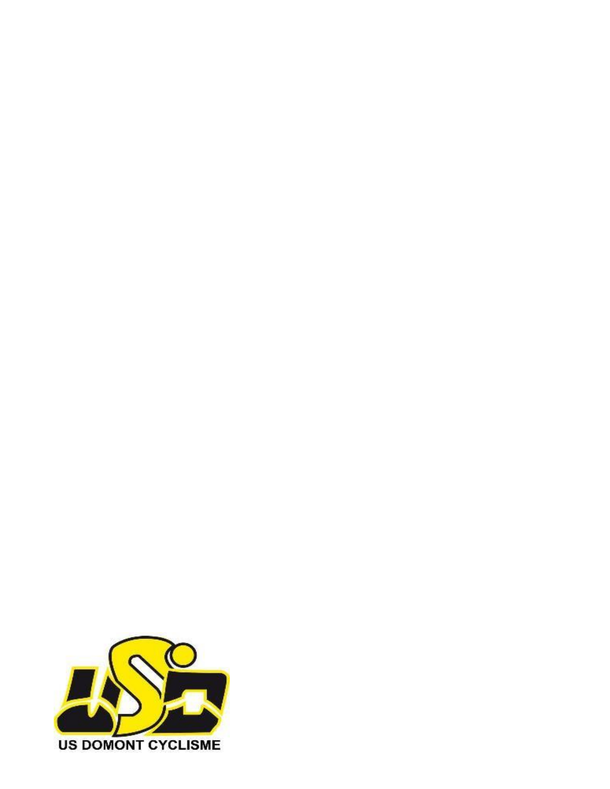